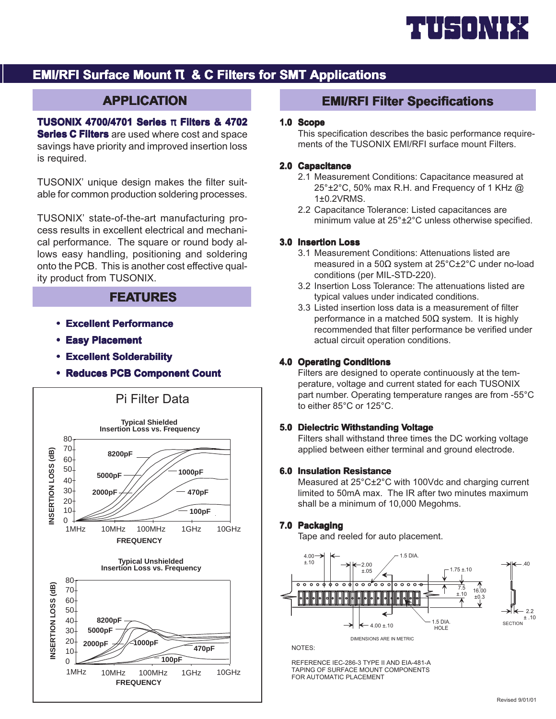

# **EMI/RFI Surface Mount**  $\pi$  **& C Filters for SMT Applications**

# **APPLICATION**

**TUSONIX 4700/4701 Series π Filters & 4702 Series C Filters** are used where cost and space savings have priority and improved insertion loss is required.

TUSONIX' unique design makes the filter suitable for common production soldering processes.

TUSONIX' state-of-the-art manufacturing process results in excellent electrical and mechanical performance. The square or round body allows easy handling, positioning and soldering onto the PCB. This is another cost effective quality product from TUSONIX.

#### **FEATURES**

- **Excellent Performance**
- **Easy Placement Easy**
- **Excellent Solderability**
- **Reduces PCB Component Count Reduces PCB Component Count**



## **EMI/RFI Filter Specifications**

#### **1.0 Scope**

This specification describes the basic performance requirements of the TUSONIX EMI/RFI surface mount Filters.

#### **2.0 Capacitance**

- 2.1 Measurement Conditions: Capacitance measured at 25°±2°C, 50% max R.H. and Frequency of 1 KHz @ 1±0.2VRMS.
- 2.2 Capacitance Tolerance: Listed capacitances are minimum value at 25°±2°C unless otherwise specified.

#### **3.0 Insertion Loss**

- 3.1 Measurement Conditions: Attenuations listed are measured in a 50Ω system at 25°C±2°C under no-load conditions (per MIL-STD-220).
- 3.2 Insertion Loss Tolerance: The attenuations listed are typical values under indicated conditions.
- 3.3 Listed insertion loss data is a measurement of filter performance in a matched 50 $\Omega$  system. It is highly recommended that filter performance be verified under actual circuit operation conditions.

#### **4.0 Operating Conditions**

Filters are designed to operate continuously at the temperature, voltage and current stated for each TUSONIX part number. Operating temperature ranges are from -55°C to either 85°C or 125°C.

#### **5.0 Dielectric Withstanding Voltage**

Filters shall withstand three times the DC working voltage applied between either terminal and ground electrode.

#### **6.0 Insulation Resistance**

Measured at 25°C±2°C with 100Vdc and charging current limited to 50mA max. The IR after two minutes maximum shall be a minimum of 10,000 Megohms.

#### **7.0 Packaging**

Tape and reeled for auto placement.



NOTES:

REFERENCE IEC-286-3 TYPE II AND EIA-481-A  $\begin{array}{c} \hline \end{array}$ TAPING OF SURFACE MOUNT COMPONENT FOR AUTOMATIC PLACEMEN